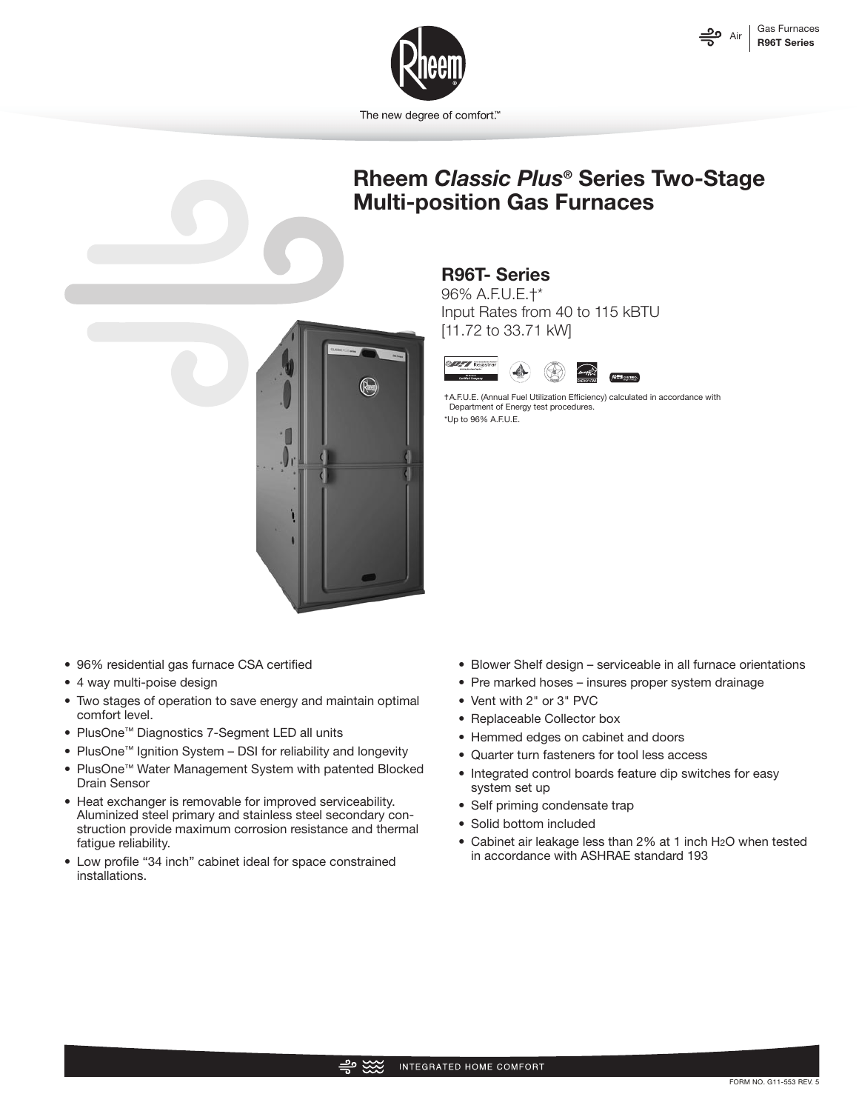

The new degree of comfort.™

# **Rheem** *Classic Plus®* **Series Two-Stage Multi-position Gas Furnaces**



#### **R96T- Series**

96% A.F.U.E.†\* Input Rates from 40 to 115 kBTU [11.72 to 33.71 kW]



✝A.F.U.E. (Annual Fuel Utilization Efficiency) calculated in accordance with Department of Energy test procedures. \*Up to 96% A.F.U.E.

- 96% residential gas furnace CSA certified
- 4 way multi-poise design
- Two stages of operation to save energy and maintain optimal comfort level.
- PlusOne™ Diagnostics 7-Segment LED all units
- PlusOne™ Ignition System DSI for reliability and longevity
- PlusOne™ Water Management System with patented Blocked Drain Sensor
- Heat exchanger is removable for improved serviceability. Aluminized steel primary and stainless steel secondary construction provide maximum corrosion resistance and thermal fatigue reliability.
- Low profile "34 inch" cabinet ideal for space constrained installations.
- Blower Shelf design serviceable in all furnace orientations
- Pre marked hoses insures proper system drainage
- Vent with 2" or 3" PVC
- Replaceable Collector box
- Hemmed edges on cabinet and doors
- Quarter turn fasteners for tool less access
- Integrated control boards feature dip switches for easy system set up
- Self priming condensate trap
- Solid bottom included
- Cabinet air leakage less than 2% at 1 inch H2O when tested in accordance with ASHRAE standard 193

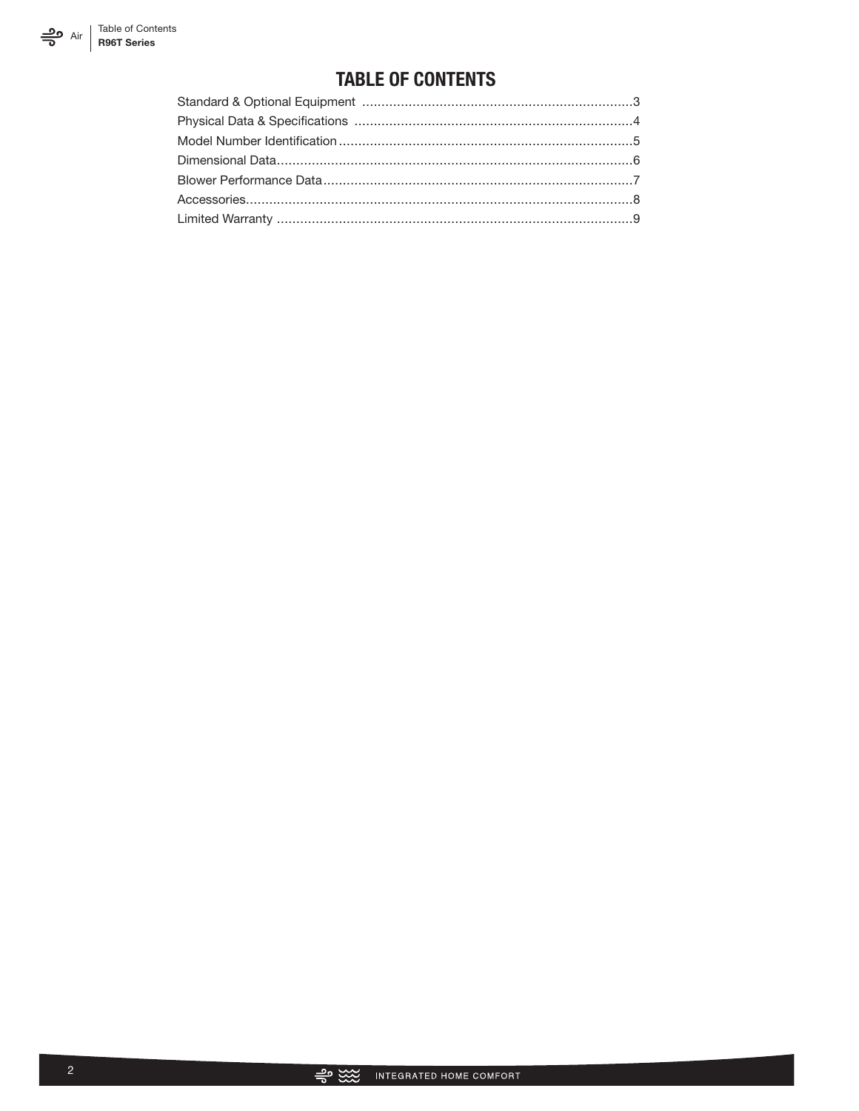# **TABLE OF CONTENTS**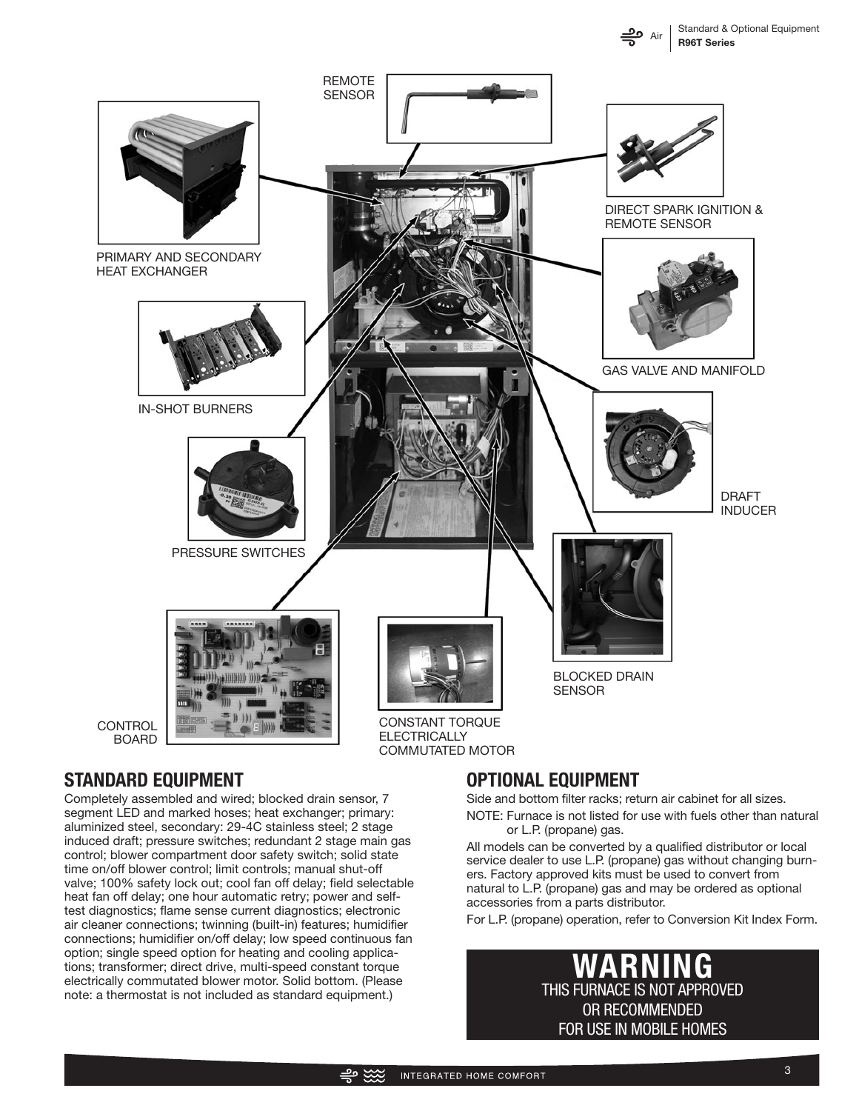

### **STANDARD EQUIPMENT**

Completely assembled and wired; blocked drain sensor, 7 segment LED and marked hoses; heat exchanger; primary: aluminized steel, secondary: 29-4C stainless steel; 2 stage induced draft; pressure switches; redundant 2 stage main gas control; blower compartment door safety switch; solid state time on/off blower control; limit controls; manual shut-off valve; 100% safety lock out; cool fan off delay; field selectable heat fan off delay; one hour automatic retry; power and selftest diagnostics; flame sense current diagnostics; electronic air cleaner connections; twinning (built-in) features; humidifier connections; humidifier on/off delay; low speed continuous fan option; single speed option for heating and cooling applications; transformer; direct drive, multi-speed constant torque electrically commutated blower motor. Solid bottom. (Please note: a thermostat is not included as standard equipment.)

### **OPTIONAL EQUIPMENT**

Side and bottom filter racks; return air cabinet for all sizes.

NOTE: Furnace is not listed for use with fuels other than natural or L.P. (propane) gas.

All models can be converted by a qualified distributor or local service dealer to use L.P. (propane) gas without changing burners. Factory approved kits must be used to convert from natural to L.P. (propane) gas and may be ordered as optional accessories from a parts distributor.

For L.P. (propane) operation, refer to Conversion Kit Index Form.

## **WARNING** THIS FURNACE IS NOT APPROVED OR RECOMMENDED FOR USE IN MOBILE HOMES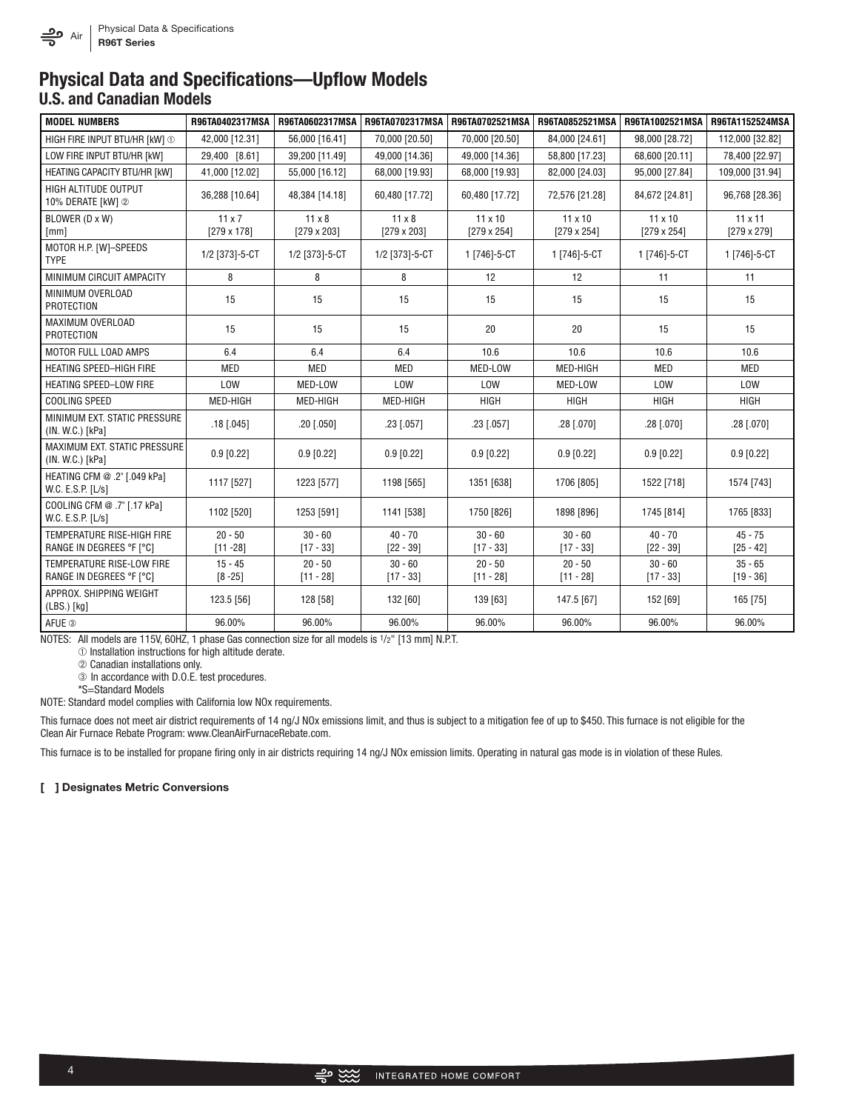#### **Physical Data and Specifications—Upflow Models U.S. and Canadian Models**

| <b>MODEL NUMBERS</b>                                   | R96TA0402317MSA                     | R96TA0602317MSA                     | R96TA0702317MSA                     | R96TA0702521MSA                      | R96TA0852521MSA                      | R96TA1002521MSA                      | R96TA1152524MSA                      |
|--------------------------------------------------------|-------------------------------------|-------------------------------------|-------------------------------------|--------------------------------------|--------------------------------------|--------------------------------------|--------------------------------------|
| HIGH FIRE INPUT BTU/HR [kW] 1                          | 42,000 [12.31]                      | 56,000 [16.41]                      | 70,000 [20.50]                      | 70,000 [20.50]                       | 84,000 [24.61]                       | 98,000 [28.72]                       | 112,000 [32.82]                      |
| LOW FIRE INPUT BTU/HR [kW]                             | 29,400 [8.61]                       | 39,200 [11.49]                      | 49,000 [14.36]                      | 49,000 [14.36]                       | 58,800 [17.23]                       | 68,600 [20.11]                       | 78,400 [22.97]                       |
| HEATING CAPACITY BTU/HR [kW]                           | 41,000 [12.02]                      | 55,000 [16.12]                      | 68,000 [19.93]                      | 68,000 [19.93]                       | 82,000 [24.03]                       | 95,000 [27.84]                       | 109,000 [31.94]                      |
| HIGH ALTITUDE OUTPUT<br>10% DERATE [kW] 2              | 36,288 [10.64]                      | 48,384 [14.18]                      | 60,480 [17.72]                      | 60,480 [17.72]                       | 72,576 [21.28]                       | 84,672 [24.81]                       | 96,768 [28.36]                       |
| BLOWER (D x W)<br>[mm]                                 | $11 \times 7$<br>$[279 \times 178]$ | $11 \times 8$<br>$[279 \times 203]$ | $11 \times 8$<br>$[279 \times 203]$ | $11 \times 10$<br>$[279 \times 254]$ | $11 \times 10$<br>$[279 \times 254]$ | $11 \times 10$<br>$[279 \times 254]$ | $11 \times 11$<br>$[279 \times 279]$ |
| MOTOR H.P. [W]-SPEEDS<br><b>TYPE</b>                   | 1/2 [373]-5-CT                      | 1/2 [373]-5-CT                      | 1/2 [373]-5-CT                      | 1 [746]-5-CT                         | 1 [746]-5-CT                         | 1 [746]-5-CT                         | 1 [746]-5-CT                         |
| MINIMUM CIRCUIT AMPACITY                               | 8                                   | 8                                   | 8                                   | 12                                   | 12                                   | 11                                   | 11                                   |
| MINIMUM OVERLOAD<br>PROTECTION                         | 15                                  | 15                                  | 15                                  | 15                                   | 15                                   | 15                                   | 15                                   |
| MAXIMUM OVERLOAD<br>PROTECTION                         | 15                                  | 15                                  | 15                                  | 20                                   | 20                                   | 15                                   | 15                                   |
| MOTOR FULL LOAD AMPS                                   | 6.4                                 | 6.4                                 | 6.4                                 | 10.6                                 | 10.6                                 | 10.6                                 | 10.6                                 |
| HEATING SPEED-HIGH FIRE                                | <b>MED</b>                          | <b>MED</b>                          | <b>MED</b>                          | MED-LOW                              | MED-HIGH                             | <b>MED</b>                           | <b>MED</b>                           |
| HEATING SPEED-LOW FIRE                                 | LOW                                 | MED-LOW                             | LOW                                 | LOW                                  | MED-LOW                              | LOW                                  | LOW                                  |
| COOLING SPEED                                          | MED-HIGH                            | MED-HIGH                            | MED-HIGH                            | <b>HIGH</b>                          | HIGH                                 | <b>HIGH</b>                          | <b>HIGH</b>                          |
| MINIMUM EXT. STATIC PRESSURE<br>(IN. W.C.) [kPa]       | $.18$ [.045]                        | $.20$ [.050]                        | $.23$ [.057]                        | .23 [.057]                           | .28 [.070]                           | $.28$ [.070]                         | .28 [.070]                           |
| MAXIMUM EXT. STATIC PRESSURE<br>(IN. W.C.) [kPa]       | $0.9$ [0.22]                        | $0.9$ [0.22]                        | $0.9$ [0.22]                        | $0.9$ [0.22]                         | $0.9$ [0.22]                         | $0.9$ [0.22]                         | $0.9$ [0.22]                         |
| HEATING CFM @ .2" [.049 kPa]<br>W.C. E.S.P. [L/s]      | 1117 [527]                          | 1223 [577]                          | 1198 [565]                          | 1351 [638]                           | 1706 [805]                           | 1522 [718]                           | 1574 [743]                           |
| COOLING CFM @ .7" [.17 kPa]<br>W.C. E.S.P. [L/s]       | 1102 [520]                          | 1253 [591]                          | 1141 [538]                          | 1750 [826]                           | 1898 [896]                           | 1745 [814]                           | 1765 [833]                           |
| TEMPERATURE RISE-HIGH FIRE<br>RANGE IN DEGREES °F [°C] | $20 - 50$<br>$[11 - 28]$            | $30 - 60$<br>$[17 - 33]$            | $40 - 70$<br>$[22 - 39]$            | $30 - 60$<br>$[17 - 33]$             | $30 - 60$<br>$[17 - 33]$             | $40 - 70$<br>$[22 - 39]$             | $45 - 75$<br>$[25 - 42]$             |
| TEMPERATURE RISE-LOW FIRE<br>RANGE IN DEGREES °F [°C]  | $15 - 45$<br>$[8 - 25]$             | $20 - 50$<br>$[11 - 28]$            | $30 - 60$<br>$[17 - 33]$            | $20 - 50$<br>$[11 - 28]$             | $20 - 50$<br>$[11 - 28]$             | $30 - 60$<br>$[17 - 33]$             | $35 - 65$<br>$[19 - 36]$             |
| APPROX. SHIPPING WEIGHT<br>$(LBS.)$ [kg]               | 123.5 [56]                          | 128 [58]                            | 132 [60]                            | 139 [63]                             | 147.5 [67]                           | 152 [69]                             | 165 [75]                             |
| AFUE 3                                                 | 96.00%                              | 96.00%                              | 96.00%                              | 96.00%                               | 96.00%                               | 96.00%                               | 96.00%                               |

NOTES: All models are 115V, 60HZ, 1 phase Gas connection size for all models is 1/2" [13 mm] N.P.T.

➀ Installation instructions for high altitude derate.

➁ Canadian installations only.

➂ In accordance with D.O.E. test procedures.

\*S=Standard Models

NOTE: Standard model complies with California low NOx requirements.

This furnace does not meet air district requirements of 14 ng/J NOx emissions limit, and thus is subject to a mitigation fee of up to \$450. This furnace is not eligible for the Clean Air Furnace Rebate Program: www.CleanAirFurnaceRebate.com.

This furnace is to be installed for propane firing only in air districts requiring 14 ng/J NOx emission limits. Operating in natural gas mode is in violation of these Rules.

#### **[ ] Designates Metric Conversions**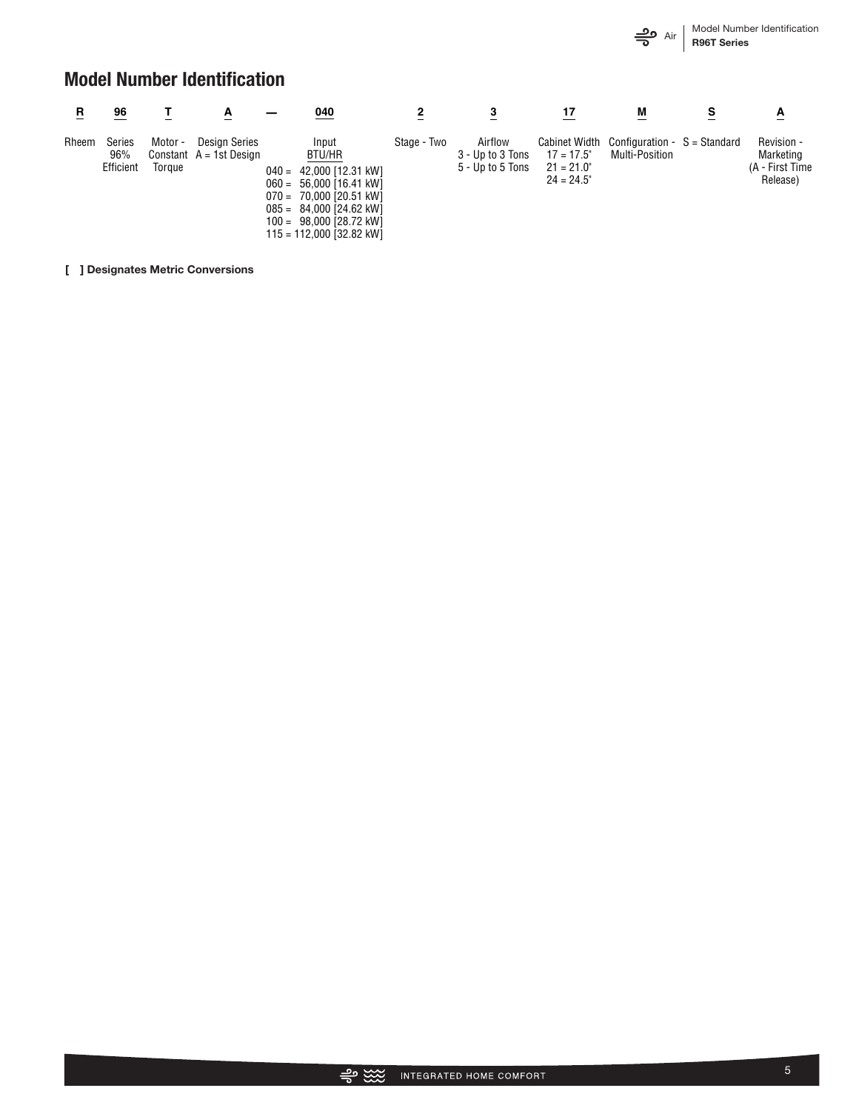# **Model Number Identification**

| R     | 96                         |                   | A                                          | 040<br>-                                                                                                                                                         |             |                                                 | 17                                           | M                                                              | s | A                                                      |
|-------|----------------------------|-------------------|--------------------------------------------|------------------------------------------------------------------------------------------------------------------------------------------------------------------|-------------|-------------------------------------------------|----------------------------------------------|----------------------------------------------------------------|---|--------------------------------------------------------|
| Rheem | Series<br>96%<br>Efficient | Motor -<br>Toraue | Design Series<br>Constant $A = 1st$ Design | Input<br>BTU/HR<br>$040 = 42,000$ [12.31 kW]<br>$060 = 56,000$ [16.41 kW]<br>$070 = 70,000$ [20.51 kW]<br>$085 = 84,000$ [24.62 kW]<br>$100 = 98,000$ [28.72 kW] | Stage - Two | Airflow<br>3 - Up to 3 Tons<br>5 - Up to 5 Tons | $17 = 17.5"$<br>$21 = 21.0"$<br>$24 = 24.5"$ | Cabinet Width Configuration - $S = Standard$<br>Multi-Position |   | Revision -<br>Marketing<br>(A - First Time<br>Release) |

115 = 112,000 [32.82 kW]

**[ ] Designates Metric Conversions**

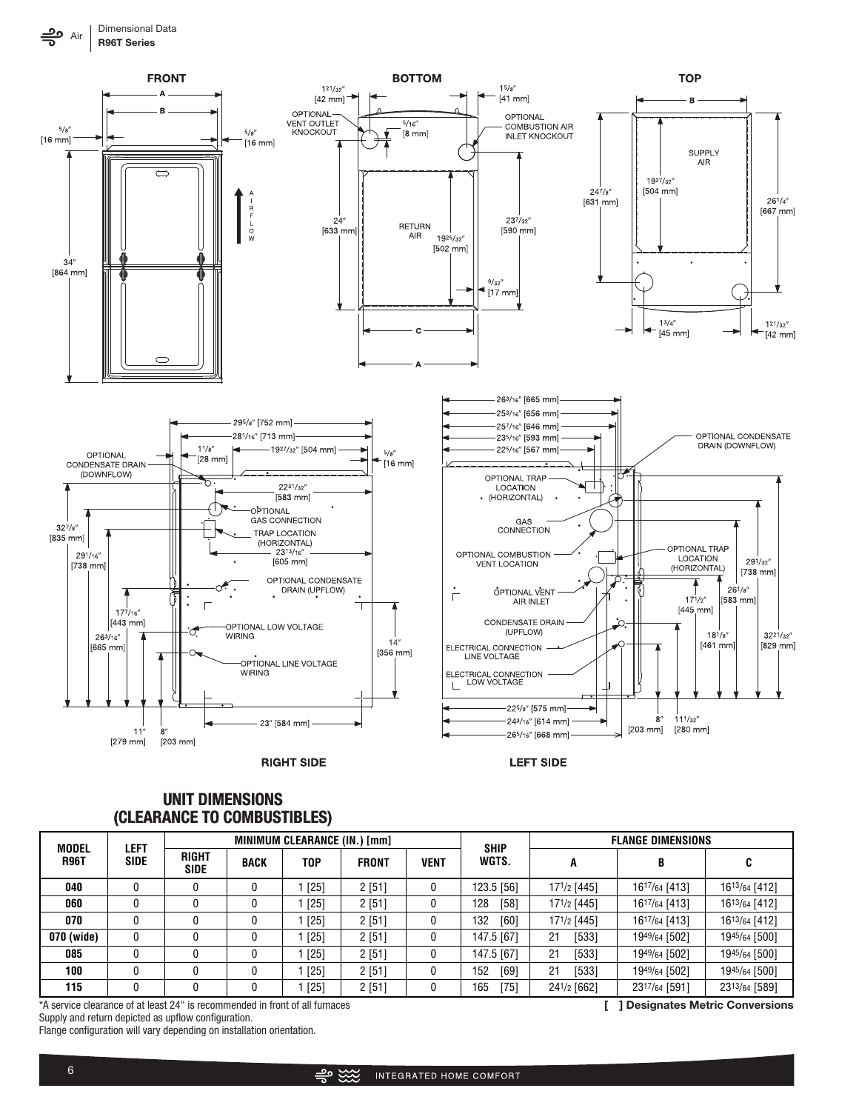

#### **UNIT DIMENSIONS (CLEARANCE TO COMBUSTIBLES)**

| <b>MODEL</b> | left        |                             |             | MINIMUM CLEARANCE (IN.) [mm] |              |             | <b>SHIP</b>   | <b>FLANGE DIMENSIONS</b> |               |               |  |  |
|--------------|-------------|-----------------------------|-------------|------------------------------|--------------|-------------|---------------|--------------------------|---------------|---------------|--|--|
| <b>R96T</b>  | <b>SIDE</b> | <b>RIGHT</b><br><b>SIDE</b> | <b>BACK</b> | T <sub>0</sub> P             | <b>FRONT</b> | <b>VENT</b> | WGTS.         | A                        | B             | C             |  |  |
| 040          |             | 0                           | 0           | [25]                         | 2[51]        |             | 123.5 [56]    | 171/2 [445]              | 1617/64 [413] | 1613/64 [412] |  |  |
| 060          |             | 0                           | 0           | $[25]$                       | 2[51]        |             | 128<br>[58]   | 171/2 [445]              | 1617/64 [413] | 1613/64 [412] |  |  |
| 070          |             | 0                           | 0           | $[25]$                       | 2[51]        | 0           | 132<br>[60]   | 171/2 [445]              | 1617/64 [413] | 1613/64 [412] |  |  |
| 070 (wide)   | 0           | 0                           | 0           | [25]                         | 2[51]        | 0           | 147.5 [67]    | [533]<br>21              | 1949/64 [502] | 1945/64 [500] |  |  |
| 085          |             | 0                           | 0           | [25]                         | 2[51]        |             | 147.5 [67]    | 21<br>[533]              | 1949/64 [502] | 1945/64 [500] |  |  |
| 100          |             | 0                           | 0           | [25]                         | 2[51]        |             | 152<br>[69]   | 21<br>[533]              | 1949/64 [502] | 1945/64 [500] |  |  |
| 115          |             |                             |             | $[25]$                       | 2[51]        |             | 165<br>$[75]$ | 241/2 [662]              | 2317/64 [591] | 2313/64 [589] |  |  |

\*A service clearance of at least 24" is recommended in front of all furnaces **[ ] Designates Metric Conversions** Supply and return depicted as upflow configuration.

Flange configuration will vary depending on installation orientation.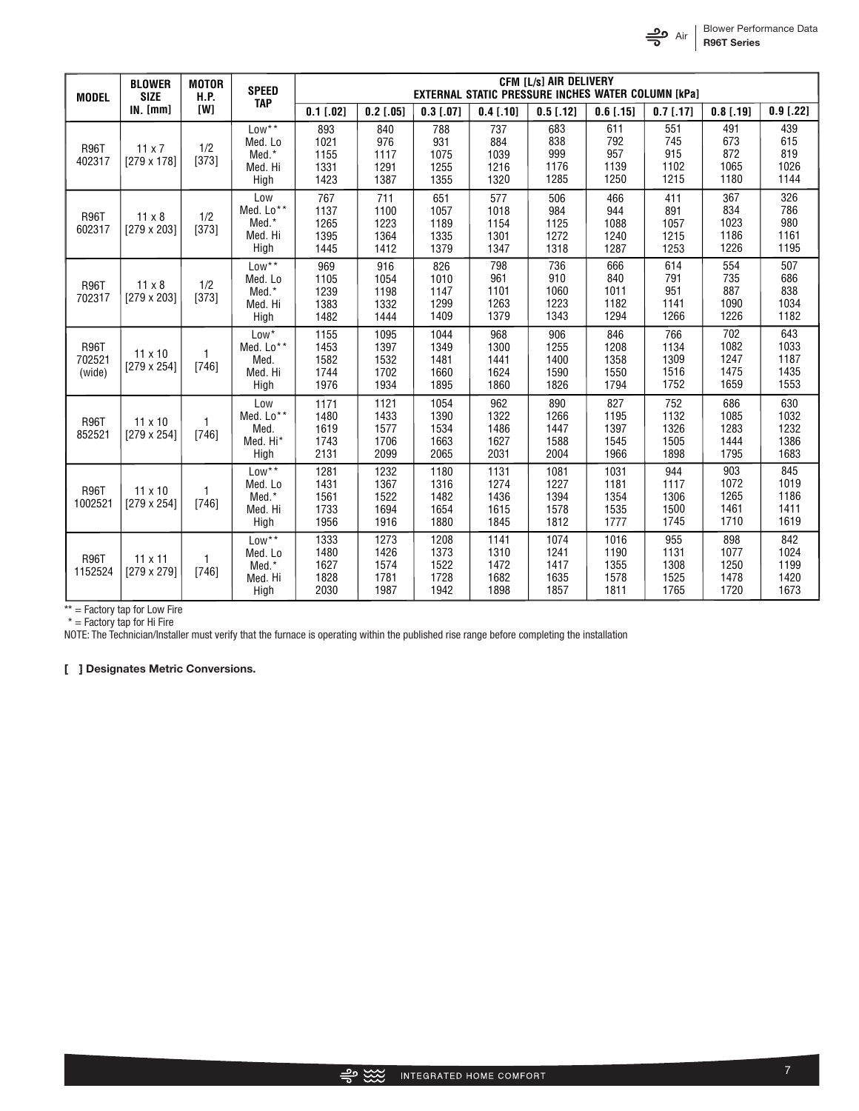| . . |
|-----|

| <b>MODEL</b>                    | <b>BLOWER</b><br><b>SIZE</b>         | <b>MOTOR</b><br>H.P. | <b>SPEED</b>                                    | CFM [L/s] AIR DELIVERY<br><b>EXTERNAL STATIC PRESSURE INCHES WATER COLUMN [kPa]</b> |                                      |                                      |                                      |                                      |                                      |                                     |                                     |                                     |
|---------------------------------|--------------------------------------|----------------------|-------------------------------------------------|-------------------------------------------------------------------------------------|--------------------------------------|--------------------------------------|--------------------------------------|--------------------------------------|--------------------------------------|-------------------------------------|-------------------------------------|-------------------------------------|
|                                 | IN. [mm]                             | [W]                  | <b>TAP</b>                                      | $0.1$ $1.021$                                                                       | $0.2$ [.05]                          | $0.3$ [.07]                          | $0.4$ [.10]                          | $0.5$ [.12]                          | $0.6$ [.15]                          | $0.7$ [.17]                         | $0.8$ [.19]                         | $0.9$ [.22]                         |
| <b>R96T</b><br>402317           | $11 \times 7$<br>$[279 \times 178]$  | 1/2<br>$[373]$       | $Low**$<br>Med. Lo<br>Med.*<br>Med. Hi<br>High  | 893<br>1021<br>1155<br>1331<br>1423                                                 | 840<br>976<br>1117<br>1291<br>1387   | 788<br>931<br>1075<br>1255<br>1355   | 737<br>884<br>1039<br>1216<br>1320   | 683<br>838<br>999<br>1176<br>1285    | 611<br>792<br>957<br>1139<br>1250    | 551<br>745<br>915<br>1102<br>1215   | 491<br>673<br>872<br>1065<br>1180   | 439<br>615<br>819<br>1026<br>1144   |
| <b>R96T</b><br>602317           | $11 \times 8$<br>$[279 \times 203]$  | 1/2<br>$[373]$       | Low<br>Med. Lo**<br>Med.*<br>Med. Hi<br>High    | 767<br>1137<br>1265<br>1395<br>1445                                                 | 711<br>1100<br>1223<br>1364<br>1412  | 651<br>1057<br>1189<br>1335<br>1379  | 577<br>1018<br>1154<br>1301<br>1347  | 506<br>984<br>1125<br>1272<br>1318   | 466<br>944<br>1088<br>1240<br>1287   | 411<br>891<br>1057<br>1215<br>1253  | 367<br>834<br>1023<br>1186<br>1226  | 326<br>786<br>980<br>1161<br>1195   |
| <b>R96T</b><br>702317           | $11 \times 8$<br>$[279 \times 203]$  | 1/2<br>[373]         | $Low***$<br>Med. Lo<br>Med.*<br>Med. Hi<br>High | 969<br>1105<br>1239<br>1383<br>1482                                                 | 916<br>1054<br>1198<br>1332<br>1444  | 826<br>1010<br>1147<br>1299<br>1409  | 798<br>961<br>1101<br>1263<br>1379   | 736<br>910<br>1060<br>1223<br>1343   | 666<br>840<br>1011<br>1182<br>1294   | 614<br>791<br>951<br>1141<br>1266   | 554<br>735<br>887<br>1090<br>1226   | 507<br>686<br>838<br>1034<br>1182   |
| <b>R96T</b><br>702521<br>(wide) | $11 \times 10$<br>$[279 \times 254]$ | 1<br>[746]           | $Low*$<br>Med. Lo**<br>Med.<br>Med. Hi<br>High  | 1155<br>1453<br>1582<br>1744<br>1976                                                | 1095<br>1397<br>1532<br>1702<br>1934 | 1044<br>1349<br>1481<br>1660<br>1895 | 968<br>1300<br>1441<br>1624<br>1860  | 906<br>1255<br>1400<br>1590<br>1826  | 846<br>1208<br>1358<br>1550<br>1794  | 766<br>1134<br>1309<br>1516<br>1752 | 702<br>1082<br>1247<br>1475<br>1659 | 643<br>1033<br>1187<br>1435<br>1553 |
| <b>R96T</b><br>852521           | $11 \times 10$<br>$[279 \times 254]$ | 1<br>[746]           | Low<br>Med. Lo**<br>Med.<br>Med. Hi*<br>High    | 1171<br>1480<br>1619<br>1743<br>2131                                                | 1121<br>1433<br>1577<br>1706<br>2099 | 1054<br>1390<br>1534<br>1663<br>2065 | 962<br>1322<br>1486<br>1627<br>2031  | 890<br>1266<br>1447<br>1588<br>2004  | 827<br>1195<br>1397<br>1545<br>1966  | 752<br>1132<br>1326<br>1505<br>1898 | 686<br>1085<br>1283<br>1444<br>1795 | 630<br>1032<br>1232<br>1386<br>1683 |
| <b>R96T</b><br>1002521          | $11 \times 10$<br>$[279 \times 254]$ | 1<br>[746]           | $Low**$<br>Med. Lo<br>Med.*<br>Med. Hi<br>High  | 1281<br>1431<br>1561<br>1733<br>1956                                                | 1232<br>1367<br>1522<br>1694<br>1916 | 1180<br>1316<br>1482<br>1654<br>1880 | 1131<br>1274<br>1436<br>1615<br>1845 | 1081<br>1227<br>1394<br>1578<br>1812 | 1031<br>1181<br>1354<br>1535<br>1777 | 944<br>1117<br>1306<br>1500<br>1745 | 903<br>1072<br>1265<br>1461<br>1710 | 845<br>1019<br>1186<br>1411<br>1619 |
| <b>R96T</b><br>1152524          | $11 \times 11$<br>$[279 \times 279]$ | 1<br>[746]           | Low**<br>Med. Lo<br>Med.*<br>Med. Hi<br>High    | 1333<br>1480<br>1627<br>1828<br>2030                                                | 1273<br>1426<br>1574<br>1781<br>1987 | 1208<br>1373<br>1522<br>1728<br>1942 | 1141<br>1310<br>1472<br>1682<br>1898 | 1074<br>1241<br>1417<br>1635<br>1857 | 1016<br>1190<br>1355<br>1578<br>1811 | 955<br>1131<br>1308<br>1525<br>1765 | 898<br>1077<br>1250<br>1478<br>1720 | 842<br>1024<br>1199<br>1420<br>1673 |

\*\* = Factory tap for Low Fire

 $*$  = Factory tap for Hi Fire

NOTE: The Technician/Installer must verify that the furnace is operating within the published rise range before completing the installation

**[ ] Designates Metric Conversions.**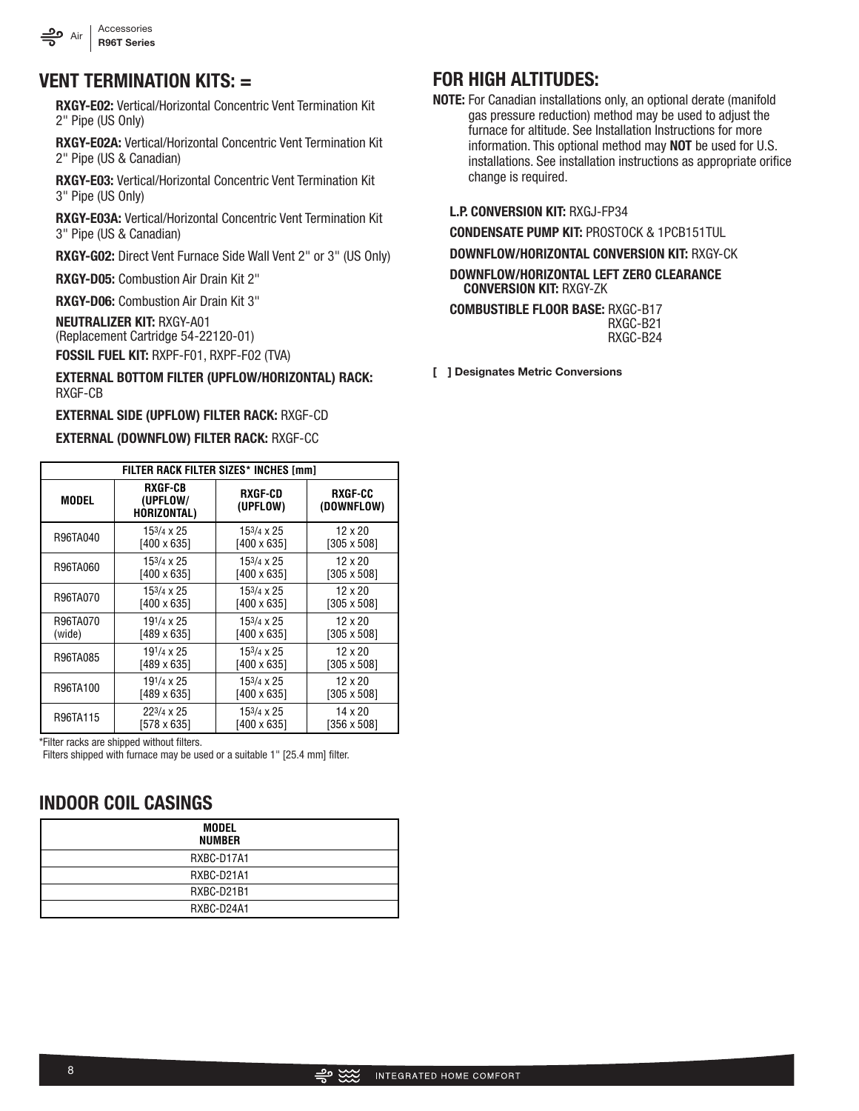

### **VENT TERMINATION KITS: =**

**RXGY-E02:** Vertical/Horizontal Concentric Vent Termination Kit 2" Pipe (US Only)

**RXGY-E02A:** Vertical/Horizontal Concentric Vent Termination Kit 2" Pipe (US & Canadian)

**RXGY-E03:** Vertical/Horizontal Concentric Vent Termination Kit 3" Pipe (US Only)

**RXGY-E03A:** Vertical/Horizontal Concentric Vent Termination Kit 3" Pipe (US & Canadian)

**RXGY-G02:** Direct Vent Furnace Side Wall Vent 2" or 3" (US Only)

**RXGY-D05:** Combustion Air Drain Kit 2"

**RXGY-D06:** Combustion Air Drain Kit 3"

**NEUTRALIZER KIT:** RXGY-A01 (Replacement Cartridge 54-22120-01)

**FOSSIL FUEL KIT:** RXPF-F01, RXPF-F02 (TVA)

**EXTERNAL BOTTOM FILTER (UPFLOW/HORIZONTAL) RACK:** RXGF-CB

**EXTERNAL SIDE (UPFLOW) FILTER RACK:** RXGF-CD

**EXTERNAL (DOWNFLOW) FILTER RACK:** RXGF-CC

| FILTER RACK FILTER SIZES* INCHES [mm] |                                    |                      |                       |  |  |  |  |  |
|---------------------------------------|------------------------------------|----------------------|-----------------------|--|--|--|--|--|
| <b>MODEL</b>                          | RXGF-CB<br>(UPFLOW/<br>HORIZONTAL) | RXGF-CD<br>(UPFLOW)  | RXGF-CC<br>(DOWNFLOW) |  |  |  |  |  |
| R96TA040                              | 153/4 x 25                         | $15^{3}/4 \times 25$ | $12 \times 20$        |  |  |  |  |  |
|                                       | $[400 \times 635]$                 | [400 x 635]          | $[305 \times 508]$    |  |  |  |  |  |
| R96TA060                              | $15^{3}/4 \times 25$               | $15^{3}/4 \times 25$ | 12 x 20               |  |  |  |  |  |
|                                       | [400 x 635]                        | [400 x 635]          | $[305 \times 508]$    |  |  |  |  |  |
| R96TA070                              | $15^{3/4} \times 25$               | $15^{3/4} \times 25$ | $12 \times 20$        |  |  |  |  |  |
|                                       | $[400 \times 635]$                 | [400 x 635]          | $[305 \times 508]$    |  |  |  |  |  |
| R96TA070                              | $19^{1/4} \times 25$               | $15^{3/4} \times 25$ | $12 \times 20$        |  |  |  |  |  |
| (wide)                                | [489 x 635]                        | [400 x 635]          | $[305 \times 508]$    |  |  |  |  |  |
| R96TA085                              | 191/4 x 25                         | $15^{3/4} \times 25$ | $12 \times 20$        |  |  |  |  |  |
|                                       | [489 x 635]                        | [400 x 635]          | [305 x 508]           |  |  |  |  |  |
| R96TA100                              | 191/4 x 25                         | $15^{3/4} \times 25$ | $12 \times 20$        |  |  |  |  |  |
|                                       | [489 x 635]                        | [400 x 635]          | [305 x 508]           |  |  |  |  |  |
| R96TA115                              | $22^{3/4} \times 25$               | 153/4 x 25           | 14 x 20               |  |  |  |  |  |
|                                       | [578 x 635]                        | [400 x 635]          | [356 x 508]           |  |  |  |  |  |

\*Filter racks are shipped without filters.

Filters shipped with furnace may be used or a suitable 1" [25.4 mm] filter.

## **INDOOR COIL CASINGS**

| MODEL<br><b>NUMBER</b> |
|------------------------|
| RXBC-D17A1             |
| RXBC-D21A1             |
| RXBC-D21B1             |
| RXBC-D24A1             |

# **FOR HIGH ALTITUDES:**

**NOTE:** For Canadian installations only, an optional derate (manifold gas pressure reduction) method may be used to adjust the furnace for altitude. See Installation Instructions for more information. This optional method may **NOT** be used for U.S. installations. See installation instructions as appropriate orifice change is required.

#### **L.P. CONVERSION KIT:** RXGJ-FP34

**CONDENSATE PUMP KIT:** PROSTOCK & 1PCB151TUL

**DOWNFLOW/HORIZONTAL CONVERSION KIT:** RXGY-CK

**DOWNFLOW/HORIZONTAL LEFT ZERO CLEARANCE CONVERSION KIT:** RXGY-ZK

**COMBUSTIBLE FLOOR BASE:** RXGC-B17 RXGC-B21 RXGC-B24

**[ ] Designates Metric Conversions**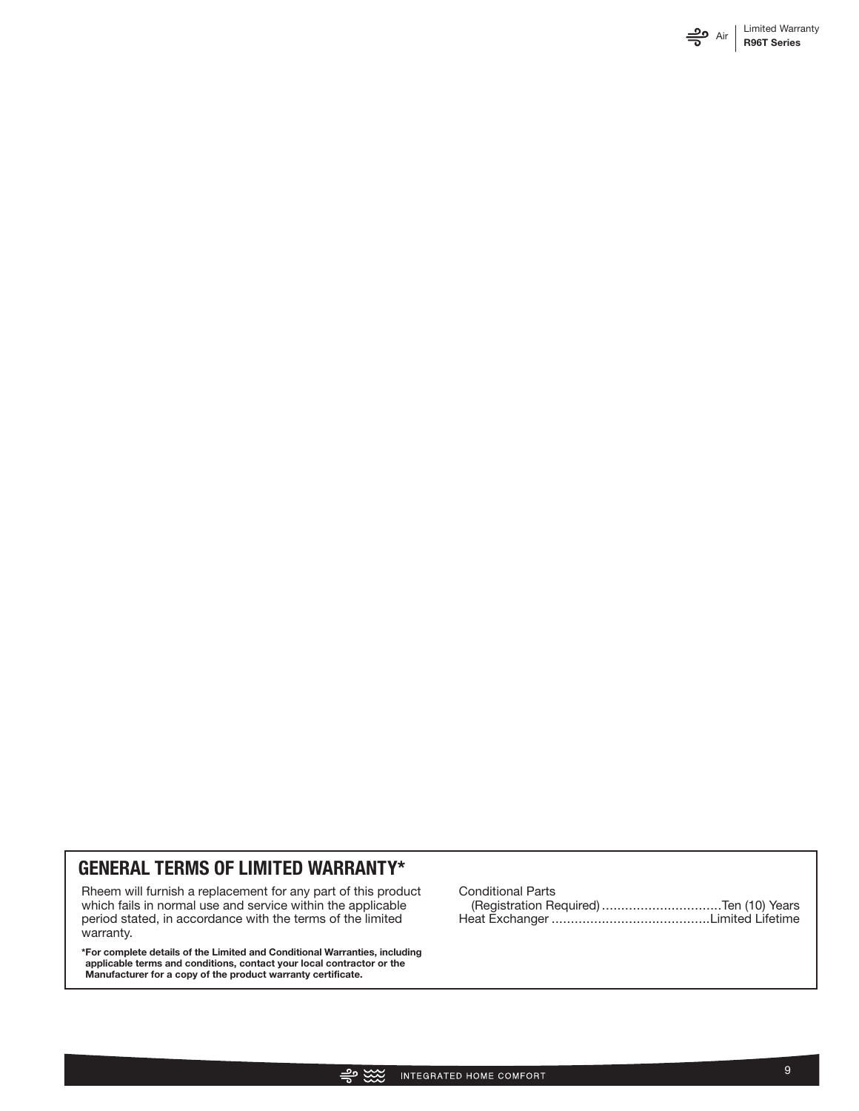

# **GENERAL TERMS OF LIMITED WARRANTY\***

Rheem will furnish a replacement for any part of this product which fails in normal use and service within the applicable period stated, in accordance with the terms of the limited warranty.

**\*For complete details of the Limited and Conditional Warranties, including applicable terms and conditions, contact your local contractor or the Manufacturer for a copy of the product warranty certificate.**

Conditional Parts (Registration Required) ...............................Ten (10) Years Heat Exchanger .........................................Limited Lifetime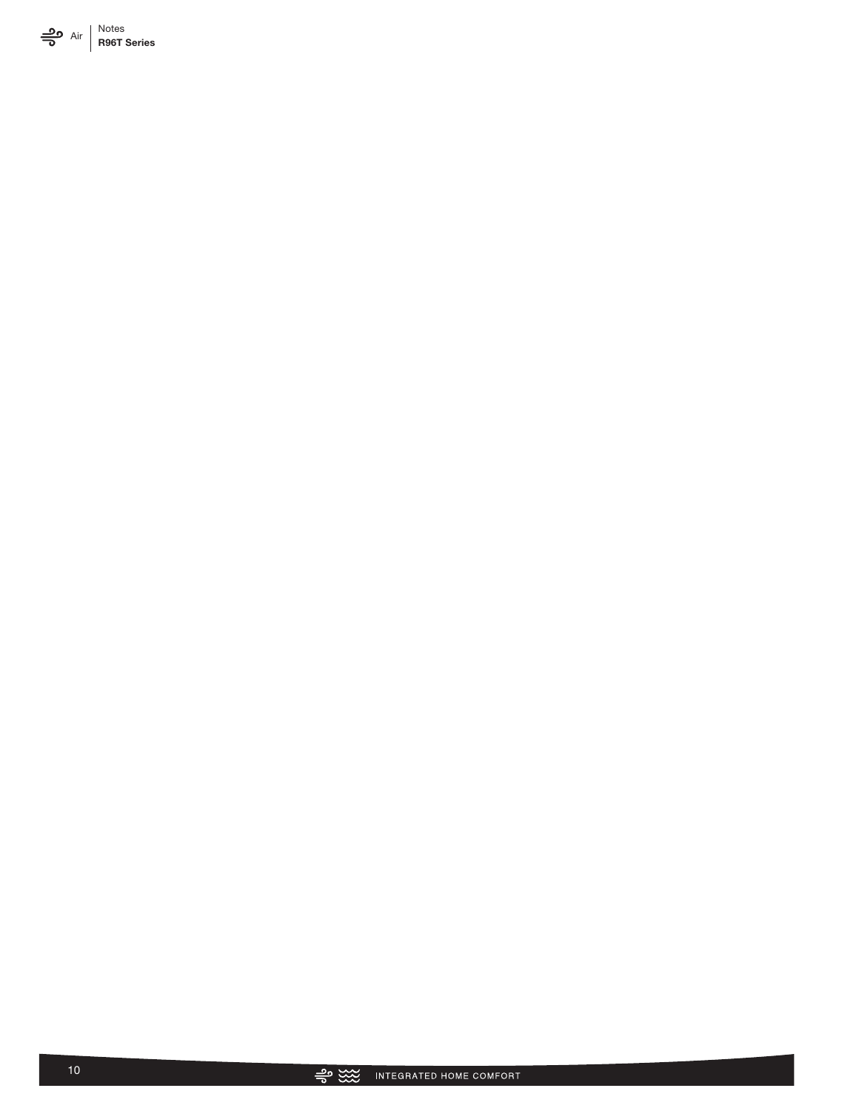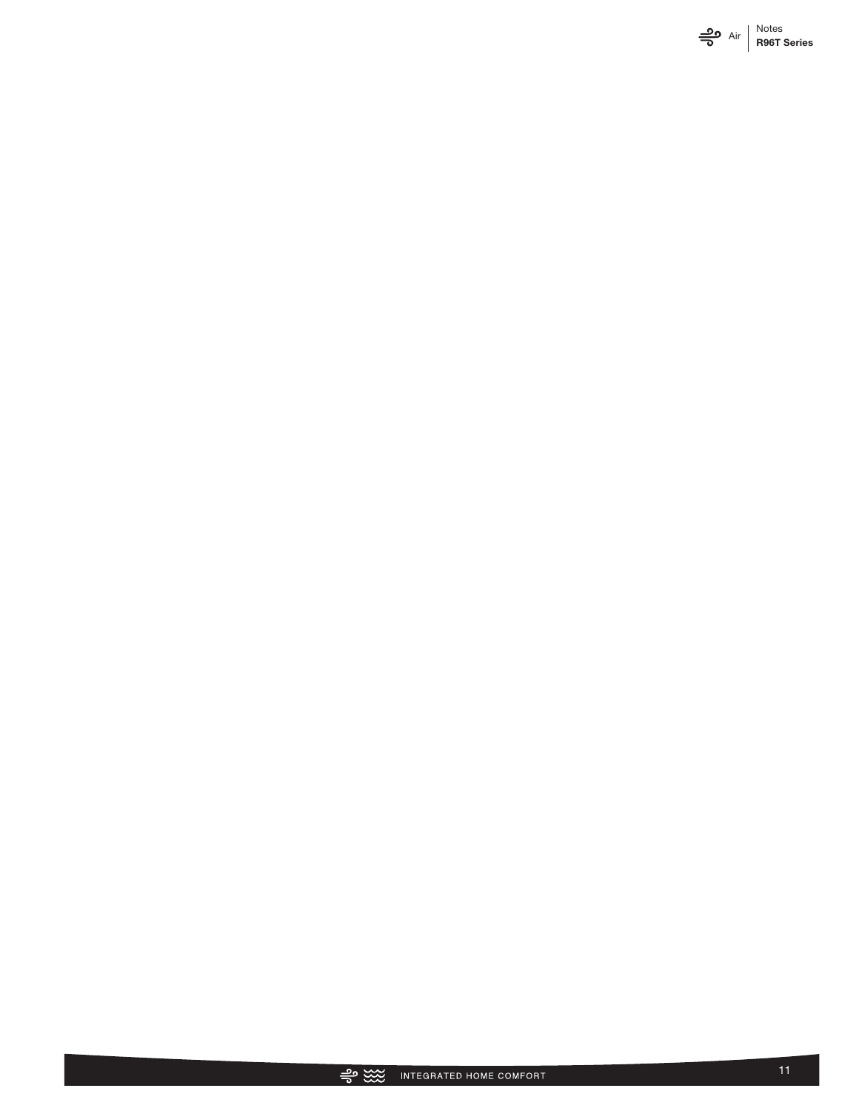